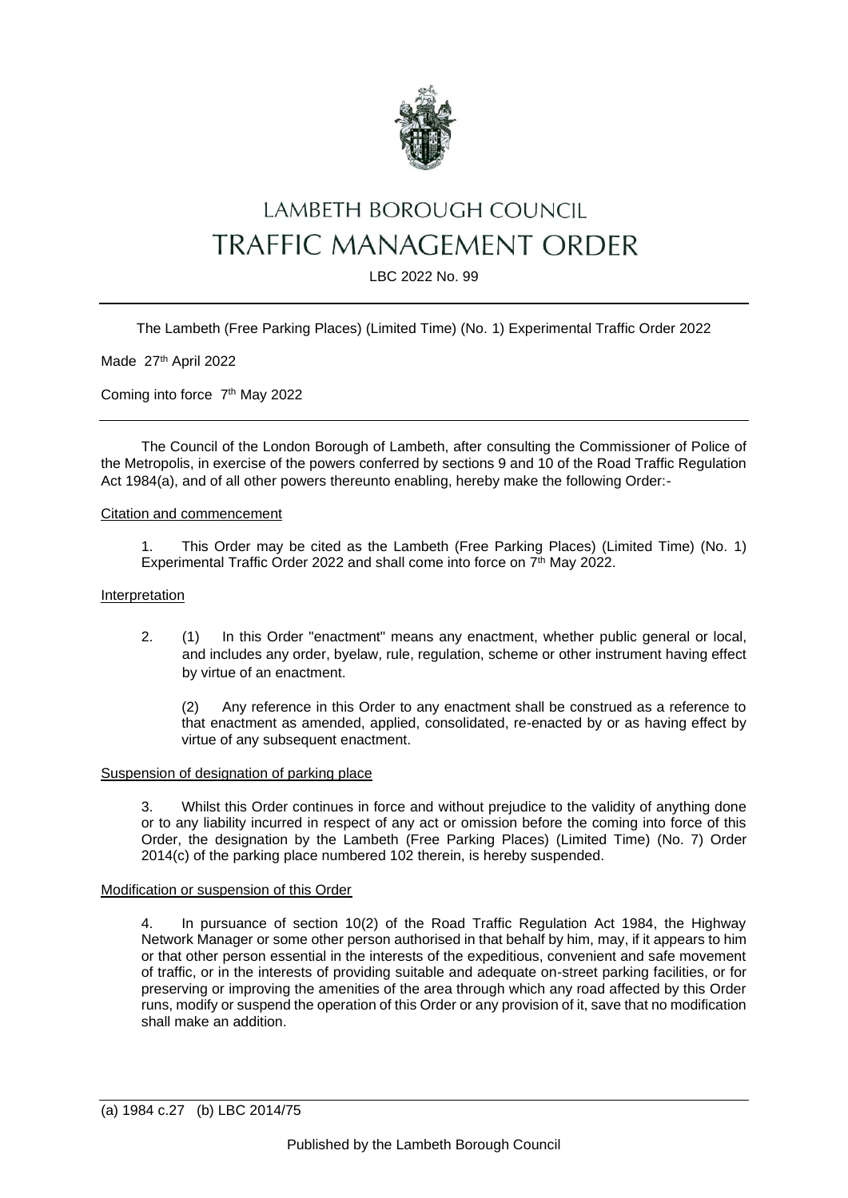

# LAMBETH BOROUGH COUNCIL **TRAFFIC MANAGEMENT ORDER**

LBC 2022 No. 99

The Lambeth (Free Parking Places) (Limited Time) (No. 1) Experimental Traffic Order 2022

Made 27<sup>th</sup> April 2022

Coming into force 7<sup>th</sup> May 2022

The Council of the London Borough of Lambeth, after consulting the Commissioner of Police of the Metropolis, in exercise of the powers conferred by sections 9 and 10 of the Road Traffic Regulation Act 1984(a), and of all other powers thereunto enabling, hereby make the following Order:-

## Citation and commencement

1. This Order may be cited as the Lambeth (Free Parking Places) (Limited Time) (No. 1) Experimental Traffic Order 2022 and shall come into force on 7<sup>th</sup> May 2022.

#### Interpretation

2. (1) In this Order "enactment" means any enactment, whether public general or local, and includes any order, byelaw, rule, regulation, scheme or other instrument having effect by virtue of an enactment.

(2) Any reference in this Order to any enactment shall be construed as a reference to that enactment as amended, applied, consolidated, re-enacted by or as having effect by virtue of any subsequent enactment.

# Suspension of designation of parking place

3. Whilst this Order continues in force and without prejudice to the validity of anything done or to any liability incurred in respect of any act or omission before the coming into force of this Order, the designation by the Lambeth (Free Parking Places) (Limited Time) (No. 7) Order 2014(c) of the parking place numbered 102 therein, is hereby suspended.

## Modification or suspension of this Order

4. In pursuance of section 10(2) of the Road Traffic Regulation Act 1984, the Highway Network Manager or some other person authorised in that behalf by him, may, if it appears to him or that other person essential in the interests of the expeditious, convenient and safe movement of traffic, or in the interests of providing suitable and adequate on-street parking facilities, or for preserving or improving the amenities of the area through which any road affected by this Order runs, modify or suspend the operation of this Order or any provision of it, save that no modification shall make an addition.